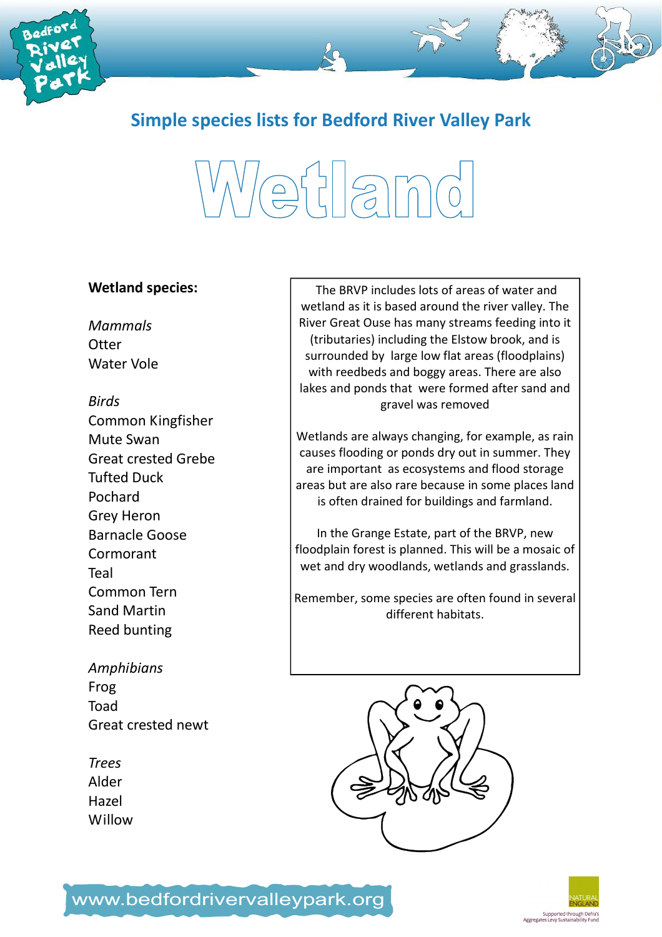

Simple species lists for Bedford River Valley Park

# Wetland

#### Wetland species:

Mammals **Otter** Water Vole

#### Birds

Common Kingfisher Mute Swan Great crested Grebe Tufted Duck Pochard Grey Heron Barnacle Goose Cormorant Teal Common Tern Sand Martin Reed bunting

Amphibians Frog Toad Great crested newt

Trees Alder Hazel Willow

 The BRVP includes lots of areas of water and wetland as it is based around the river valley. The River Great Ouse has many streams feeding into it (tributaries) including the Elstow brook, and is surrounded by large low flat areas (floodplains) with reedbeds and boggy areas. There are also lakes and ponds that were formed after sand and gravel was removed

Wetlands are always changing, for example, as rain causes flooding or ponds dry out in summer. They are important as ecosystems and flood storage areas but are also rare because in some places land is often drained for buildings and farmland.

In the Grange Estate, part of the BRVP, new floodplain forest is planned. This will be a mosaic of wet and dry woodlands, wetlands and grasslands.

Remember, some species are often found in several different habitats.





### www.bedfordrivervalleypark.org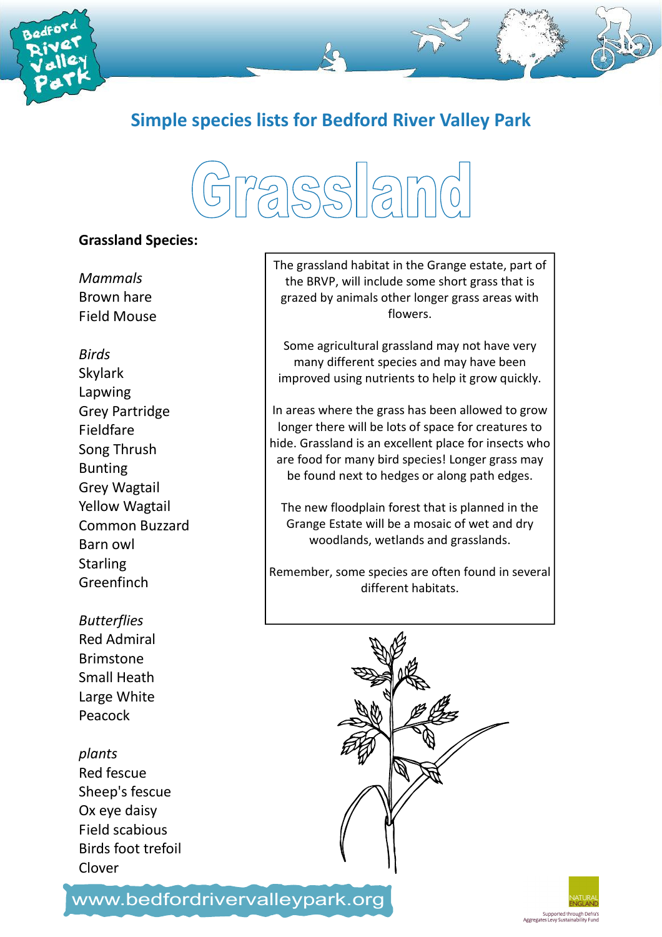

Simple species lists for Bedford River Valley Park

# 72,SS 2m0

#### Grassland Species:

Mammals Brown hare Field Mouse

Birds Skylark Lapwing Grey Partridge Fieldfare Song Thrush Bunting Grey Wagtail Yellow Wagtail Common Buzzard Barn owl **Starling Greenfinch** 

#### **Butterflies** Red Admiral

Brimstone Small Heath Large White Peacock

### plants

Red fescue Sheep's fescue Ox eye daisy Field scabious Birds foot trefoil Clover

The grassland habitat in the Grange estate, part of the BRVP, will include some short grass that is grazed by animals other longer grass areas with flowers.

Some agricultural grassland may not have very many different species and may have been improved using nutrients to help it grow quickly.

In areas where the grass has been allowed to grow longer there will be lots of space for creatures to hide. Grassland is an excellent place for insects who are food for many bird species! Longer grass may be found next to hedges or along path edges.

The new floodplain forest that is planned in the Grange Estate will be a mosaic of wet and dry woodlands, wetlands and grasslands.

Remember, some species are often found in several different habitats.